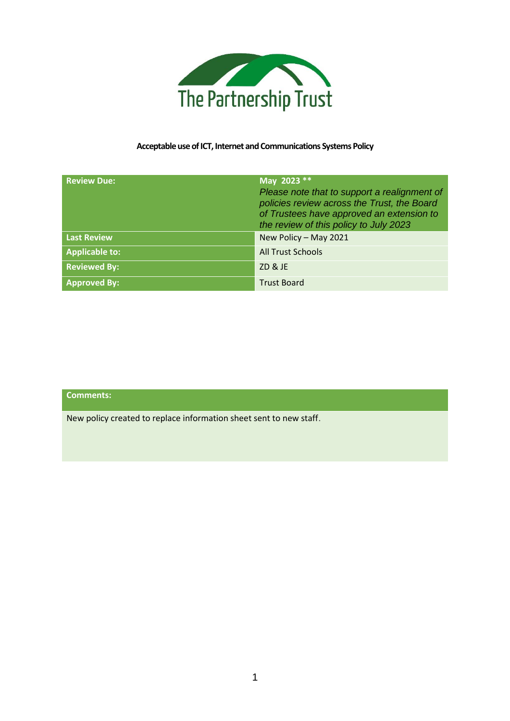

# **Acceptable use of ICT, Internet and Communications Systems Policy**

| <b>Review Due:</b>    | May 2023 **<br>Please note that to support a realignment of<br>policies review across the Trust, the Board<br>of Trustees have approved an extension to<br>the review of this policy to July 2023 |
|-----------------------|---------------------------------------------------------------------------------------------------------------------------------------------------------------------------------------------------|
| <b>Last Review</b>    | New Policy - May 2021                                                                                                                                                                             |
| <b>Applicable to:</b> | <b>All Trust Schools</b>                                                                                                                                                                          |
| <b>Reviewed By:</b>   | ZD & JE                                                                                                                                                                                           |
| <b>Approved By:</b>   | <b>Trust Board</b>                                                                                                                                                                                |

**Comments:**

New policy created to replace information sheet sent to new staff.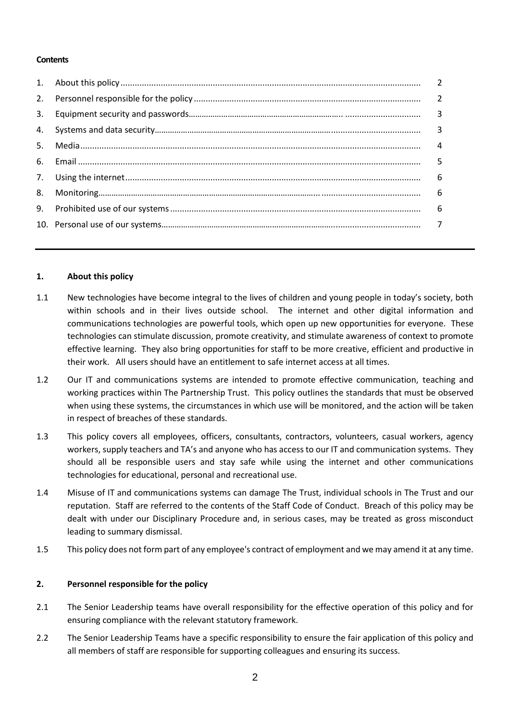#### **Contents**

|                | $\overline{2}$ |
|----------------|----------------|
| 2.             | $\overline{2}$ |
| 3.             | 3              |
| 4.             | 3              |
| 5 <sub>1</sub> | 4              |
| 6.             | 5              |
| 7.             | 6              |
| 8.             | 6              |
| 9.             | 6              |
|                |                |

#### **1. About this policy**

- 1.1 New technologies have become integral to the lives of children and young people in today's society, both within schools and in their lives outside school. The internet and other digital information and communications technologies are powerful tools, which open up new opportunities for everyone. These technologies can stimulate discussion, promote creativity, and stimulate awareness of context to promote effective learning. They also bring opportunities for staff to be more creative, efficient and productive in their work. All users should have an entitlement to safe internet access at all times.
- 1.2 Our IT and communications systems are intended to promote effective communication, teaching and working practices within The Partnership Trust. This policy outlines the standards that must be observed when using these systems, the circumstances in which use will be monitored, and the action will be taken in respect of breaches of these standards.
- 1.3 This policy covers all employees, officers, consultants, contractors, volunteers, casual workers, agency workers, supply teachers and TA's and anyone who has access to our IT and communication systems. They should all be responsible users and stay safe while using the internet and other communications technologies for educational, personal and recreational use.
- 1.4 Misuse of IT and communications systems can damage The Trust, individual schools in The Trust and our reputation. Staff are referred to the contents of the Staff Code of Conduct. Breach of this policy may be dealt with under our Disciplinary Procedure and, in serious cases, may be treated as gross misconduct leading to summary dismissal.
- 1.5 This policy does not form part of any employee's contract of employment and we may amend it at any time.

# **2. Personnel responsible for the policy**

- 2.1 The Senior Leadership teams have overall responsibility for the effective operation of this policy and for ensuring compliance with the relevant statutory framework.
- 2.2 The Senior Leadership Teams have a specific responsibility to ensure the fair application of this policy and all members of staff are responsible for supporting colleagues and ensuring its success.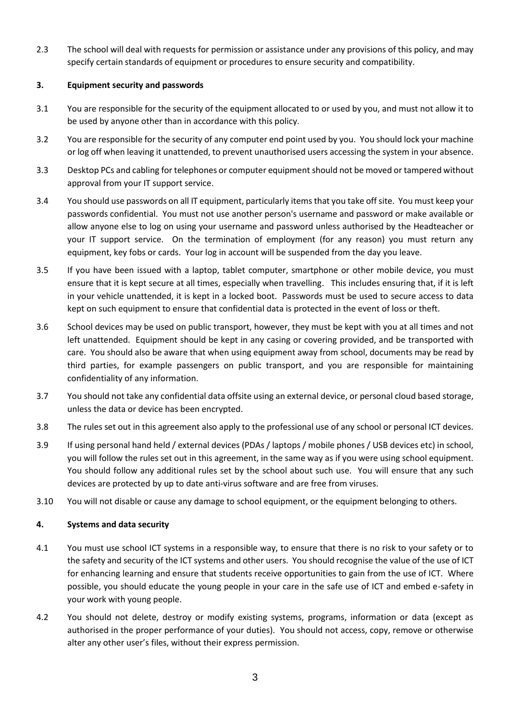2.3 The school will deal with requests for permission or assistance under any provisions of this policy, and may specify certain standards of equipment or procedures to ensure security and compatibility.

# **3. Equipment security and passwords**

- 3.1 You are responsible for the security of the equipment allocated to or used by you, and must not allow it to be used by anyone other than in accordance with this policy.
- 3.2 You are responsible for the security of any computer end point used by you. You should lock your machine or log off when leaving it unattended, to prevent unauthorised users accessing the system in your absence.
- 3.3 Desktop PCs and cabling for telephones or computer equipment should not be moved or tampered without approval from your IT support service.
- 3.4 You should use passwords on all IT equipment, particularly items that you take off site. You must keep your passwords confidential. You must not use another person's username and password or make available or allow anyone else to log on using your username and password unless authorised by the Headteacher or your IT support service. On the termination of employment (for any reason) you must return any equipment, key fobs or cards. Your log in account will be suspended from the day you leave.
- 3.5 If you have been issued with a laptop, tablet computer, smartphone or other mobile device, you must ensure that it is kept secure at all times, especially when travelling. This includes ensuring that, if it is left in your vehicle unattended, it is kept in a locked boot. Passwords must be used to secure access to data kept on such equipment to ensure that confidential data is protected in the event of loss or theft.
- 3.6 School devices may be used on public transport, however, they must be kept with you at all times and not left unattended. Equipment should be kept in any casing or covering provided, and be transported with care. You should also be aware that when using equipment away from school, documents may be read by third parties, for example passengers on public transport, and you are responsible for maintaining confidentiality of any information.
- 3.7 You should not take any confidential data offsite using an external device, or personal cloud based storage, unless the data or device has been encrypted.
- 3.8 The rules set out in this agreement also apply to the professional use of any school or personal ICT devices.
- 3.9 If using personal hand held / external devices (PDAs / laptops / mobile phones / USB devices etc) in school, you will follow the rules set out in this agreement, in the same way as if you were using school equipment. You should follow any additional rules set by the school about such use. You will ensure that any such devices are protected by up to date anti-virus software and are free from viruses.
- 3.10 You will not disable or cause any damage to school equipment, or the equipment belonging to others.

# **4. Systems and data security**

- 4.1 You must use school ICT systems in a responsible way, to ensure that there is no risk to your safety or to the safety and security of the ICT systems and other users. You should recognise the value of the use of ICT for enhancing learning and ensure that students receive opportunities to gain from the use of ICT. Where possible, you should educate the young people in your care in the safe use of ICT and embed e-safety in your work with young people.
- 4.2 You should not delete, destroy or modify existing systems, programs, information or data (except as authorised in the proper performance of your duties). You should not access, copy, remove or otherwise alter any other user's files, without their express permission.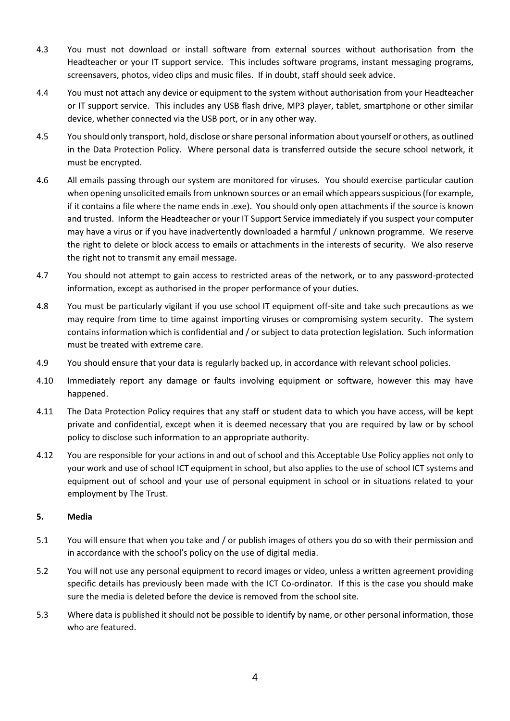- 4.3 You must not download or install software from external sources without authorisation from the Headteacher or your IT support service. This includes software programs, instant messaging programs, screensavers, photos, video clips and music files. If in doubt, staff should seek advice.
- 4.4 You must not attach any device or equipment to the system without authorisation from your Headteacher or IT support service. This includes any USB flash drive, MP3 player, tablet, smartphone or other similar device, whether connected via the USB port, or in any other way.
- 4.5 You should only transport, hold, disclose or share personal information about yourself or others, as outlined in the Data Protection Policy. Where personal data is transferred outside the secure school network, it must be encrypted.
- 4.6 All emails passing through our system are monitored for viruses. You should exercise particular caution when opening unsolicited emails from unknown sources or an email which appears suspicious (for example, if it contains a file where the name ends in .exe). You should only open attachments if the source is known and trusted. Inform the Headteacher or your IT Support Service immediately if you suspect your computer may have a virus or if you have inadvertently downloaded a harmful / unknown programme. We reserve the right to delete or block access to emails or attachments in the interests of security. We also reserve the right not to transmit any email message.
- 4.7 You should not attempt to gain access to restricted areas of the network, or to any password-protected information, except as authorised in the proper performance of your duties.
- 4.8 You must be particularly vigilant if you use school IT equipment off-site and take such precautions as we may require from time to time against importing viruses or compromising system security. The system contains information which is confidential and / or subject to data protection legislation. Such information must be treated with extreme care.
- 4.9 You should ensure that your data is regularly backed up, in accordance with relevant school policies.
- 4.10 Immediately report any damage or faults involving equipment or software, however this may have happened.
- 4.11 The Data Protection Policy requires that any staff or student data to which you have access, will be kept private and confidential, except when it is deemed necessary that you are required by law or by school policy to disclose such information to an appropriate authority.
- 4.12 You are responsible for your actions in and out of school and this Acceptable Use Policy applies not only to your work and use of school ICT equipment in school, but also applies to the use of school ICT systems and equipment out of school and your use of personal equipment in school or in situations related to your employment by The Trust.

# **5. Media**

- 5.1 You will ensure that when you take and / or publish images of others you do so with their permission and in accordance with the school's policy on the use of digital media.
- 5.2 You will not use any personal equipment to record images or video, unless a written agreement providing specific details has previously been made with the ICT Co-ordinator. If this is the case you should make sure the media is deleted before the device is removed from the school site.
- 5.3 Where data is published it should not be possible to identify by name, or other personal information, those who are featured.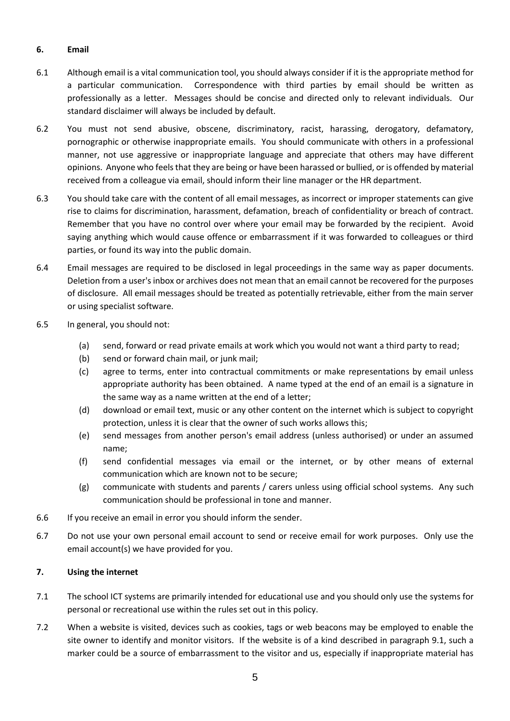# **6. Email**

- 6.1 Although email is a vital communication tool, you should always consider if it is the appropriate method for a particular communication. Correspondence with third parties by email should be written as professionally as a letter. Messages should be concise and directed only to relevant individuals. Our standard disclaimer will always be included by default.
- 6.2 You must not send abusive, obscene, discriminatory, racist, harassing, derogatory, defamatory, pornographic or otherwise inappropriate emails. You should communicate with others in a professional manner, not use aggressive or inappropriate language and appreciate that others may have different opinions. Anyone who feels that they are being or have been harassed or bullied, or is offended by material received from a colleague via email, should inform their line manager or the HR department.
- 6.3 You should take care with the content of all email messages, as incorrect or improper statements can give rise to claims for discrimination, harassment, defamation, breach of confidentiality or breach of contract. Remember that you have no control over where your email may be forwarded by the recipient. Avoid saying anything which would cause offence or embarrassment if it was forwarded to colleagues or third parties, or found its way into the public domain.
- 6.4 Email messages are required to be disclosed in legal proceedings in the same way as paper documents. Deletion from a user's inbox or archives does not mean that an email cannot be recovered for the purposes of disclosure. All email messages should be treated as potentially retrievable, either from the main server or using specialist software.
- 6.5 In general, you should not:
	- (a) send, forward or read private emails at work which you would not want a third party to read;
	- (b) send or forward chain mail, or junk mail;
	- (c) agree to terms, enter into contractual commitments or make representations by email unless appropriate authority has been obtained. A name typed at the end of an email is a signature in the same way as a name written at the end of a letter;
	- (d) download or email text, music or any other content on the internet which is subject to copyright protection, unless it is clear that the owner of such works allows this;
	- (e) send messages from another person's email address (unless authorised) or under an assumed name;
	- (f) send confidential messages via email or the internet, or by other means of external communication which are known not to be secure;
	- (g) communicate with students and parents / carers unless using official school systems. Any such communication should be professional in tone and manner.
- 6.6 If you receive an email in error you should inform the sender.
- 6.7 Do not use your own personal email account to send or receive email for work purposes. Only use the email account(s) we have provided for you.

# **7. Using the internet**

- 7.1 The school ICT systems are primarily intended for educational use and you should only use the systems for personal or recreational use within the rules set out in this policy.
- 7.2 When a website is visited, devices such as cookies, tags or web beacons may be employed to enable the site owner to identify and monitor visitors. If the website is of a kind described in paragraph 9.1, such a marker could be a source of embarrassment to the visitor and us, especially if inappropriate material has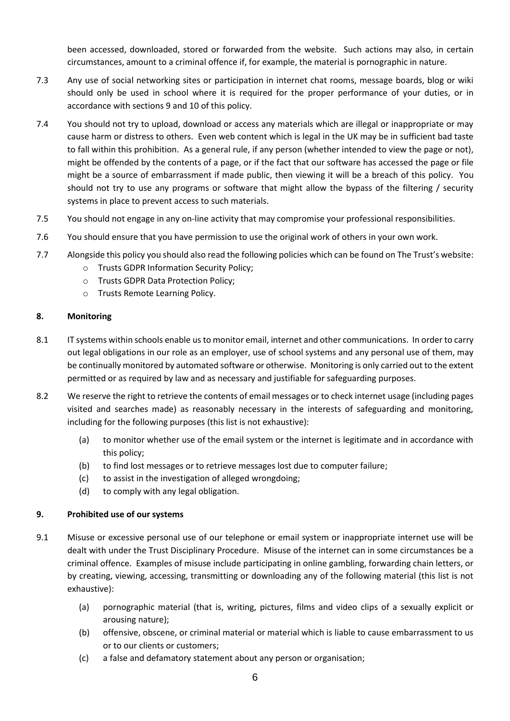been accessed, downloaded, stored or forwarded from the website. Such actions may also, in certain circumstances, amount to a criminal offence if, for example, the material is pornographic in nature.

- 7.3 Any use of social networking sites or participation in internet chat rooms, message boards, blog or wiki should only be used in school where it is required for the proper performance of your duties, or in accordance with sections 9 and 10 of this policy.
- 7.4 You should not try to upload, download or access any materials which are illegal or inappropriate or may cause harm or distress to others. Even web content which is legal in the UK may be in sufficient bad taste to fall within this prohibition. As a general rule, if any person (whether intended to view the page or not), might be offended by the contents of a page, or if the fact that our software has accessed the page or file might be a source of embarrassment if made public, then viewing it will be a breach of this policy. You should not try to use any programs or software that might allow the bypass of the filtering / security systems in place to prevent access to such materials.
- 7.5 You should not engage in any on-line activity that may compromise your professional responsibilities.
- 7.6 You should ensure that you have permission to use the original work of others in your own work.
- 7.7 Alongside this policy you should also read the following policies which can be found on The Trust's website:
	- o Trusts GDPR Information Security Policy;
	- o Trusts GDPR Data Protection Policy;
	- o Trusts Remote Learning Policy.

#### **8. Monitoring**

- 8.1 IT systems within schools enable us to monitor email, internet and other communications. In order to carry out legal obligations in our role as an employer, use of school systems and any personal use of them, may be continually monitored by automated software or otherwise. Monitoring is only carried out to the extent permitted or as required by law and as necessary and justifiable for safeguarding purposes.
- 8.2 We reserve the right to retrieve the contents of email messages or to check internet usage (including pages visited and searches made) as reasonably necessary in the interests of safeguarding and monitoring, including for the following purposes (this list is not exhaustive):
	- (a) to monitor whether use of the email system or the internet is legitimate and in accordance with this policy;
	- (b) to find lost messages or to retrieve messages lost due to computer failure;
	- (c) to assist in the investigation of alleged wrongdoing;
	- (d) to comply with any legal obligation.

#### **9. Prohibited use of our systems**

- 9.1 Misuse or excessive personal use of our telephone or email system or inappropriate internet use will be dealt with under the Trust Disciplinary Procedure. Misuse of the internet can in some circumstances be a criminal offence. Examples of misuse include participating in online gambling, forwarding chain letters, or by creating, viewing, accessing, transmitting or downloading any of the following material (this list is not exhaustive):
	- (a) pornographic material (that is, writing, pictures, films and video clips of a sexually explicit or arousing nature);
	- (b) offensive, obscene, or criminal material or material which is liable to cause embarrassment to us or to our clients or customers;
	- (c) a false and defamatory statement about any person or organisation;